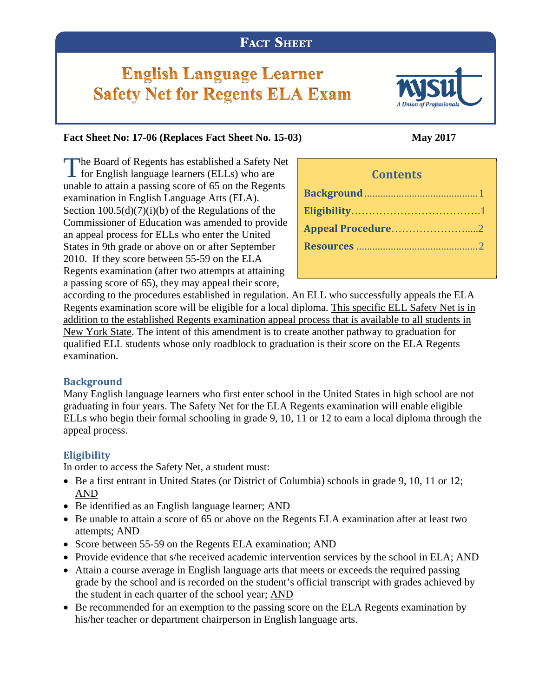# **English Language Learner Safety Net for Regents ELA Exam**



**The Board of Regents has established a Safety Net** The Board of Regents has established a Safety Net<br>
for English language learners (ELLs) who are **Contents** unable to attain a passing score of 65 on the Regents examination in English Language Arts (ELA). Section  $100.5(d)(7)(i)(b)$  of the Regulations of the Commissioner of Education was amended to provide an appeal process for ELLs who enter the United States in 9th grade or above on or after September 2010. If they score between 55-59 on the ELA Regents examination (after two attempts at attaining a passing score of 65), they may appeal their score,

according to the procedures established in regulation. An ELL who successfully appeals the ELA Regents examination score will be eligible for a local diploma. This specific ELL Safety Net is in addition to the established Regents examination appeal process that is available to all students in New York State. The intent of this amendment is to create another pathway to graduation for qualified ELL students whose only roadblock to graduation is their score on the ELA Regents examination.

# **Background**

Many English language learners who first enter school in the United States in high school are not graduating in four years. The Safety Net for the ELA Regents examination will enable eligible ELLs who begin their formal schooling in grade 9, 10, 11 or 12 to earn a local diploma through the appeal process.

# **Eligibility**

In order to access the Safety Net, a student must:

- Be a first entrant in United States (or District of Columbia) schools in grade 9, 10, 11 or 12; AND
- Be identified as an English language learner; AND
- Be unable to attain a score of 65 or above on the Regents ELA examination after at least two attempts; AND
- Score between 55-59 on the Regents ELA examination; AND
- Provide evidence that s/he received academic intervention services by the school in ELA; AND
- Attain a course average in English language arts that meets or exceeds the required passing grade by the school and is recorded on the student's official transcript with grades achieved by the student in each quarter of the school year; AND
- Be recommended for an exemption to the passing score on the ELA Regents examination by his/her teacher or department chairperson in English language arts.